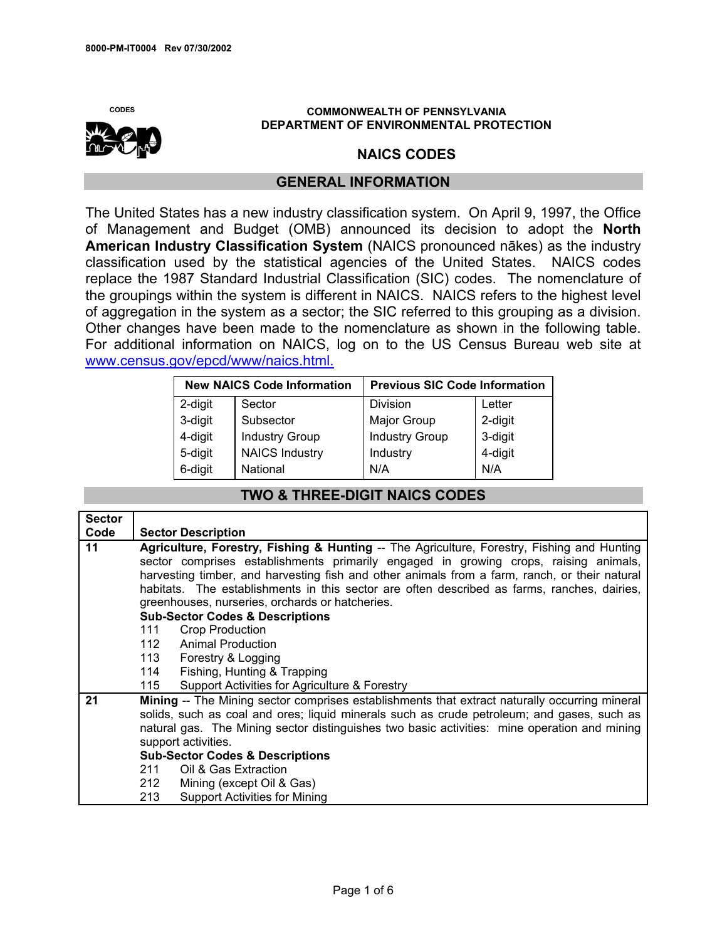

## **CODES COMMONWEALTH OF PENNSYLVANIA DEPARTMENT OF ENVIRONMENTAL PROTECTION**

## **NAICS CODES**

## **GENERAL INFORMATION**

The United States has a new industry classification system. On April 9, 1997, the Office of Management and Budget (OMB) announced its decision to adopt the **North American Industry Classification System** (NAICS pronounced nākes) as the industry classification used by the statistical agencies of the United States. NAICS codes replace the 1987 Standard Industrial Classification (SIC) codes. The nomenclature of the groupings within the system is different in NAICS. NAICS refers to the highest level of aggregation in the system as a sector; the SIC referred to this grouping as a division. Other changes have been made to the nomenclature as shown in the following table. For additional information on NAICS, log on to the US Census Bureau web site at [www.census.gov/epcd/www/naics.html.](http://www.census.gov/epcd/www/naics.html)

| <b>New NAICS Code Information</b> |                       | <b>Previous SIC Code Information</b> |         |
|-----------------------------------|-----------------------|--------------------------------------|---------|
| 2-digit                           | Sector                | Division                             | Letter  |
| 3-digit                           | Subsector             | Major Group                          | 2-digit |
| 4-digit                           | <b>Industry Group</b> | <b>Industry Group</b>                | 3-digit |
| 5-digit                           | <b>NAICS Industry</b> | Industry                             | 4-digit |
| 6-digit                           | National              | N/A                                  | N/A     |

## **TWO & THREE-DIGIT NAICS CODES**

| <b>Sector</b> |                                                                                               |  |  |
|---------------|-----------------------------------------------------------------------------------------------|--|--|
| Code          | <b>Sector Description</b>                                                                     |  |  |
| 11            | Agriculture, Forestry, Fishing & Hunting -- The Agriculture, Forestry, Fishing and Hunting    |  |  |
|               | sector comprises establishments primarily engaged in growing crops, raising animals,          |  |  |
|               | harvesting timber, and harvesting fish and other animals from a farm, ranch, or their natural |  |  |
|               | habitats. The establishments in this sector are often described as farms, ranches, dairies,   |  |  |
|               | greenhouses, nurseries, orchards or hatcheries.                                               |  |  |
|               | <b>Sub-Sector Codes &amp; Descriptions</b>                                                    |  |  |
|               | <b>Crop Production</b><br>111                                                                 |  |  |
|               | Animal Production<br>112                                                                      |  |  |
|               | 113 Forestry & Logging                                                                        |  |  |
|               | 114<br>Fishing, Hunting & Trapping                                                            |  |  |
|               | 115<br>Support Activities for Agriculture & Forestry                                          |  |  |
| 21            | Mining -- The Mining sector comprises establishments that extract naturally occurring mineral |  |  |
|               | solids, such as coal and ores; liquid minerals such as crude petroleum; and gases, such as    |  |  |
|               | natural gas. The Mining sector distinguishes two basic activities: mine operation and mining  |  |  |
|               | support activities.                                                                           |  |  |
|               | <b>Sub-Sector Codes &amp; Descriptions</b>                                                    |  |  |
|               | Oil & Gas Extraction<br>211                                                                   |  |  |
|               | 212<br>Mining (except Oil & Gas)                                                              |  |  |
|               | 213<br><b>Support Activities for Mining</b>                                                   |  |  |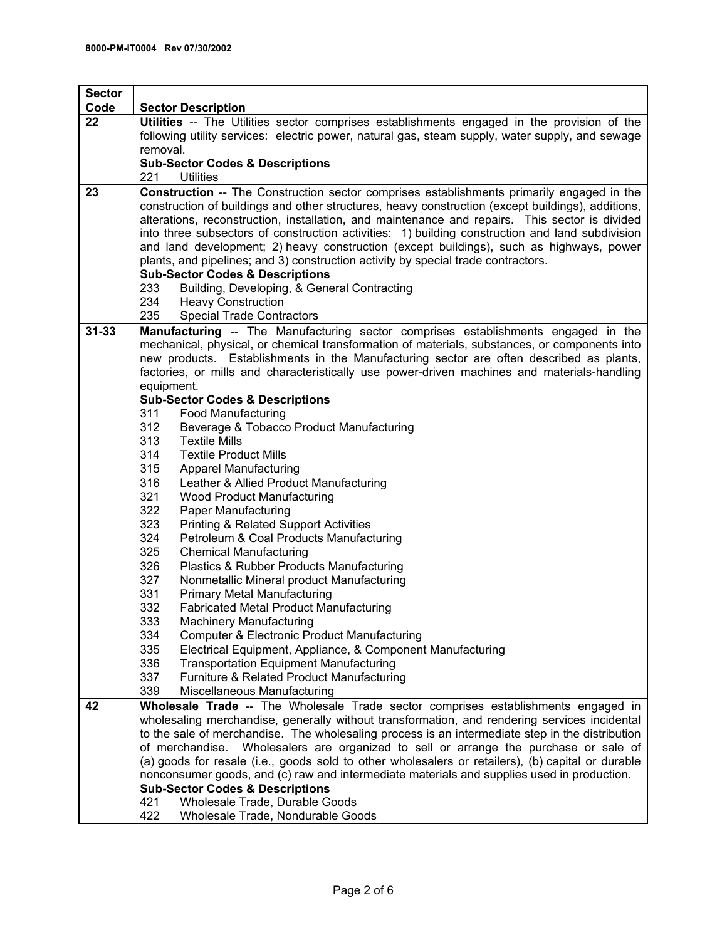| <b>Sector</b> |                                                                                                                                                                                                                                                                                                                                                                                                                                                                                                                                      |  |
|---------------|--------------------------------------------------------------------------------------------------------------------------------------------------------------------------------------------------------------------------------------------------------------------------------------------------------------------------------------------------------------------------------------------------------------------------------------------------------------------------------------------------------------------------------------|--|
| Code          | <b>Sector Description</b>                                                                                                                                                                                                                                                                                                                                                                                                                                                                                                            |  |
| 22            | Utilities -- The Utilities sector comprises establishments engaged in the provision of the<br>following utility services: electric power, natural gas, steam supply, water supply, and sewage<br>removal.                                                                                                                                                                                                                                                                                                                            |  |
|               | <b>Sub-Sector Codes &amp; Descriptions</b><br>221<br><b>Utilities</b>                                                                                                                                                                                                                                                                                                                                                                                                                                                                |  |
| 23            | <b>Construction</b> -- The Construction sector comprises establishments primarily engaged in the                                                                                                                                                                                                                                                                                                                                                                                                                                     |  |
|               | construction of buildings and other structures, heavy construction (except buildings), additions,<br>alterations, reconstruction, installation, and maintenance and repairs. This sector is divided<br>into three subsectors of construction activities: 1) building construction and land subdivision<br>and land development; 2) heavy construction (except buildings), such as highways, power<br>plants, and pipelines; and 3) construction activity by special trade contractors.<br><b>Sub-Sector Codes &amp; Descriptions</b> |  |
|               | 233<br>Building, Developing, & General Contracting                                                                                                                                                                                                                                                                                                                                                                                                                                                                                   |  |
|               | 234<br><b>Heavy Construction</b>                                                                                                                                                                                                                                                                                                                                                                                                                                                                                                     |  |
|               | 235<br><b>Special Trade Contractors</b>                                                                                                                                                                                                                                                                                                                                                                                                                                                                                              |  |
| $31 - 33$     | <b>Manufacturing</b> -- The Manufacturing sector comprises establishments engaged in the<br>mechanical, physical, or chemical transformation of materials, substances, or components into<br>new products. Establishments in the Manufacturing sector are often described as plants,<br>factories, or mills and characteristically use power-driven machines and materials-handling<br>equipment.                                                                                                                                    |  |
|               | <b>Sub-Sector Codes &amp; Descriptions</b>                                                                                                                                                                                                                                                                                                                                                                                                                                                                                           |  |
|               | 311<br><b>Food Manufacturing</b>                                                                                                                                                                                                                                                                                                                                                                                                                                                                                                     |  |
|               | 312<br>Beverage & Tobacco Product Manufacturing<br>313<br><b>Textile Mills</b>                                                                                                                                                                                                                                                                                                                                                                                                                                                       |  |
|               | 314<br><b>Textile Product Mills</b>                                                                                                                                                                                                                                                                                                                                                                                                                                                                                                  |  |
|               | 315<br><b>Apparel Manufacturing</b>                                                                                                                                                                                                                                                                                                                                                                                                                                                                                                  |  |
|               | 316<br>Leather & Allied Product Manufacturing                                                                                                                                                                                                                                                                                                                                                                                                                                                                                        |  |
|               | 321<br>Wood Product Manufacturing                                                                                                                                                                                                                                                                                                                                                                                                                                                                                                    |  |
|               | 322<br>Paper Manufacturing                                                                                                                                                                                                                                                                                                                                                                                                                                                                                                           |  |
|               | 323<br><b>Printing &amp; Related Support Activities</b>                                                                                                                                                                                                                                                                                                                                                                                                                                                                              |  |
|               | 324<br>Petroleum & Coal Products Manufacturing                                                                                                                                                                                                                                                                                                                                                                                                                                                                                       |  |
|               | 325<br><b>Chemical Manufacturing</b>                                                                                                                                                                                                                                                                                                                                                                                                                                                                                                 |  |
|               | 326<br>Plastics & Rubber Products Manufacturing                                                                                                                                                                                                                                                                                                                                                                                                                                                                                      |  |
|               | 327<br>Nonmetallic Mineral product Manufacturing                                                                                                                                                                                                                                                                                                                                                                                                                                                                                     |  |
|               | 331<br><b>Primary Metal Manufacturing</b><br>332<br><b>Fabricated Metal Product Manufacturing</b>                                                                                                                                                                                                                                                                                                                                                                                                                                    |  |
|               | 333<br><b>Machinery Manufacturing</b>                                                                                                                                                                                                                                                                                                                                                                                                                                                                                                |  |
|               | 334<br><b>Computer &amp; Electronic Product Manufacturing</b>                                                                                                                                                                                                                                                                                                                                                                                                                                                                        |  |
|               | 335<br>Electrical Equipment, Appliance, & Component Manufacturing                                                                                                                                                                                                                                                                                                                                                                                                                                                                    |  |
|               | 336<br><b>Transportation Equipment Manufacturing</b>                                                                                                                                                                                                                                                                                                                                                                                                                                                                                 |  |
|               | 337<br>Furniture & Related Product Manufacturing                                                                                                                                                                                                                                                                                                                                                                                                                                                                                     |  |
|               | 339<br>Miscellaneous Manufacturing                                                                                                                                                                                                                                                                                                                                                                                                                                                                                                   |  |
| 42            | Wholesale Trade -- The Wholesale Trade sector comprises establishments engaged in                                                                                                                                                                                                                                                                                                                                                                                                                                                    |  |
|               | wholesaling merchandise, generally without transformation, and rendering services incidental                                                                                                                                                                                                                                                                                                                                                                                                                                         |  |
|               | to the sale of merchandise. The wholesaling process is an intermediate step in the distribution                                                                                                                                                                                                                                                                                                                                                                                                                                      |  |
|               | of merchandise. Wholesalers are organized to sell or arrange the purchase or sale of                                                                                                                                                                                                                                                                                                                                                                                                                                                 |  |
|               | (a) goods for resale (i.e., goods sold to other wholesalers or retailers), (b) capital or durable<br>nonconsumer goods, and (c) raw and intermediate materials and supplies used in production.                                                                                                                                                                                                                                                                                                                                      |  |
|               | <b>Sub-Sector Codes &amp; Descriptions</b>                                                                                                                                                                                                                                                                                                                                                                                                                                                                                           |  |
|               | Wholesale Trade, Durable Goods<br>421                                                                                                                                                                                                                                                                                                                                                                                                                                                                                                |  |
|               | 422<br>Wholesale Trade, Nondurable Goods                                                                                                                                                                                                                                                                                                                                                                                                                                                                                             |  |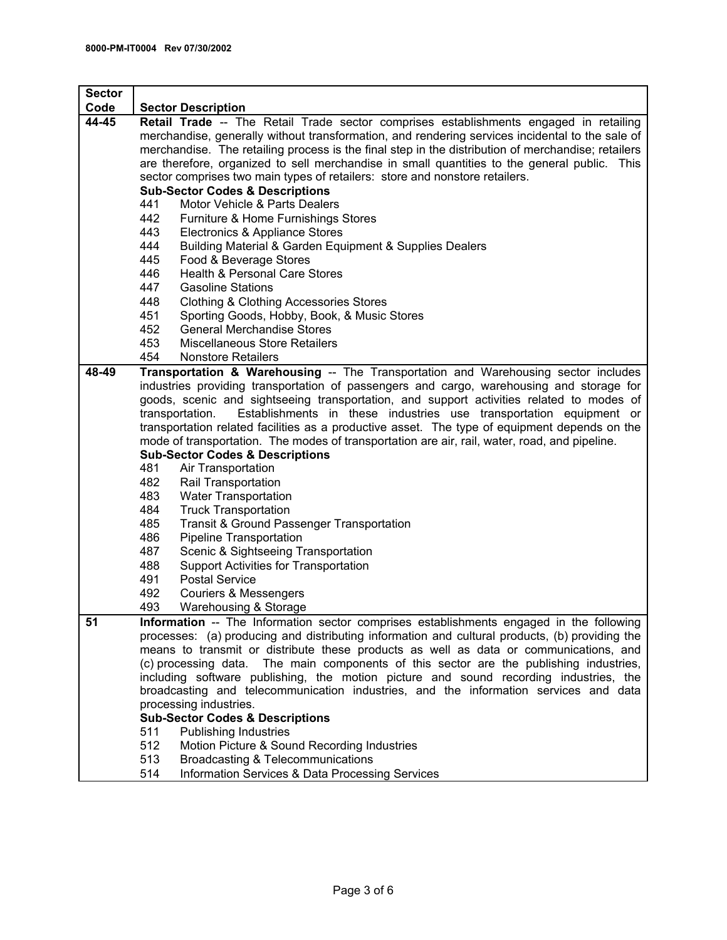| <b>Sector</b> |                                                                                                    |  |  |
|---------------|----------------------------------------------------------------------------------------------------|--|--|
| Code          | <b>Sector Description</b>                                                                          |  |  |
| 44-45         | Retail Trade -- The Retail Trade sector comprises establishments engaged in retailing              |  |  |
|               | merchandise, generally without transformation, and rendering services incidental to the sale of    |  |  |
|               | merchandise. The retailing process is the final step in the distribution of merchandise; retailers |  |  |
|               | are therefore, organized to sell merchandise in small quantities to the general public. This       |  |  |
|               | sector comprises two main types of retailers: store and nonstore retailers.                        |  |  |
|               | <b>Sub-Sector Codes &amp; Descriptions</b>                                                         |  |  |
|               | 441<br>Motor Vehicle & Parts Dealers                                                               |  |  |
|               | 442<br>Furniture & Home Furnishings Stores                                                         |  |  |
|               | 443<br>Electronics & Appliance Stores                                                              |  |  |
|               | 444<br>Building Material & Garden Equipment & Supplies Dealers                                     |  |  |
|               | 445<br>Food & Beverage Stores                                                                      |  |  |
|               | <b>Health &amp; Personal Care Stores</b><br>446                                                    |  |  |
|               | 447<br><b>Gasoline Stations</b>                                                                    |  |  |
|               | 448<br><b>Clothing &amp; Clothing Accessories Stores</b>                                           |  |  |
|               | 451<br>Sporting Goods, Hobby, Book, & Music Stores                                                 |  |  |
|               | 452<br><b>General Merchandise Stores</b>                                                           |  |  |
|               | 453<br><b>Miscellaneous Store Retailers</b>                                                        |  |  |
|               | 454<br><b>Nonstore Retailers</b>                                                                   |  |  |
| 48-49         | Transportation & Warehousing -- The Transportation and Warehousing sector includes                 |  |  |
|               | industries providing transportation of passengers and cargo, warehousing and storage for           |  |  |
|               | goods, scenic and sightseeing transportation, and support activities related to modes of           |  |  |
|               | Establishments in these industries use transportation equipment or<br>transportation.              |  |  |
|               | transportation related facilities as a productive asset. The type of equipment depends on the      |  |  |
|               | mode of transportation. The modes of transportation are air, rail, water, road, and pipeline.      |  |  |
|               | <b>Sub-Sector Codes &amp; Descriptions</b>                                                         |  |  |
|               | 481<br>Air Transportation                                                                          |  |  |
|               | 482<br>Rail Transportation                                                                         |  |  |
|               | 483<br><b>Water Transportation</b>                                                                 |  |  |
|               | 484<br><b>Truck Transportation</b>                                                                 |  |  |
|               | 485<br><b>Transit &amp; Ground Passenger Transportation</b>                                        |  |  |
|               | 486<br><b>Pipeline Transportation</b>                                                              |  |  |
|               | 487<br>Scenic & Sightseeing Transportation                                                         |  |  |
|               | 488<br>Support Activities for Transportation                                                       |  |  |
|               | 491<br><b>Postal Service</b>                                                                       |  |  |
|               | 492<br><b>Couriers &amp; Messengers</b>                                                            |  |  |
|               | 493<br>Warehousing & Storage                                                                       |  |  |
| 51            | Information -- The Information sector comprises establishments engaged in the following            |  |  |
|               | processes: (a) producing and distributing information and cultural products, (b) providing the     |  |  |
|               | means to transmit or distribute these products as well as data or communications, and              |  |  |
|               | (c) processing data. The main components of this sector are the publishing industries,             |  |  |
|               | including software publishing, the motion picture and sound recording industries, the              |  |  |
|               | broadcasting and telecommunication industries, and the information services and data               |  |  |
|               | processing industries.                                                                             |  |  |
|               | <b>Sub-Sector Codes &amp; Descriptions</b>                                                         |  |  |
|               | <b>Publishing Industries</b><br>511                                                                |  |  |
|               | 512<br>Motion Picture & Sound Recording Industries                                                 |  |  |
|               | 513<br>Broadcasting & Telecommunications                                                           |  |  |
|               | Information Services & Data Processing Services<br>514                                             |  |  |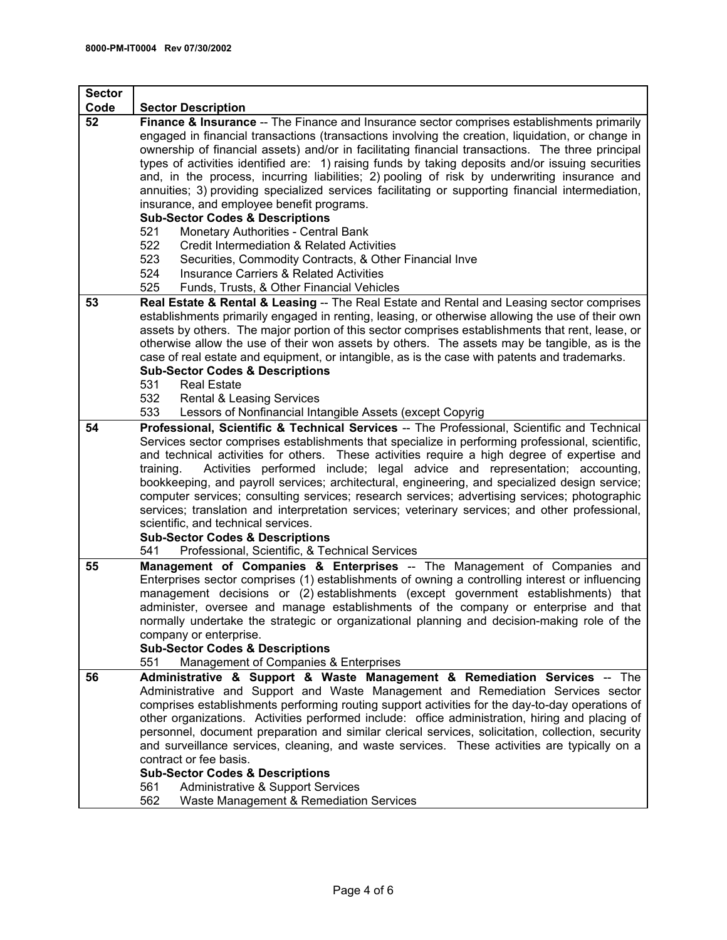| <b>Sector</b> |                                                                                                                                                                                                                                                                                                                                                                                                                                                                                                                                                                                                                                                             |  |  |
|---------------|-------------------------------------------------------------------------------------------------------------------------------------------------------------------------------------------------------------------------------------------------------------------------------------------------------------------------------------------------------------------------------------------------------------------------------------------------------------------------------------------------------------------------------------------------------------------------------------------------------------------------------------------------------------|--|--|
| Code          | <b>Sector Description</b>                                                                                                                                                                                                                                                                                                                                                                                                                                                                                                                                                                                                                                   |  |  |
| 52            | Finance & Insurance -- The Finance and Insurance sector comprises establishments primarily<br>engaged in financial transactions (transactions involving the creation, liquidation, or change in<br>ownership of financial assets) and/or in facilitating financial transactions. The three principal<br>types of activities identified are: 1) raising funds by taking deposits and/or issuing securities<br>and, in the process, incurring liabilities; 2) pooling of risk by underwriting insurance and<br>annuities; 3) providing specialized services facilitating or supporting financial intermediation,<br>insurance, and employee benefit programs. |  |  |
|               | <b>Sub-Sector Codes &amp; Descriptions</b><br>Monetary Authorities - Central Bank<br>521                                                                                                                                                                                                                                                                                                                                                                                                                                                                                                                                                                    |  |  |
|               | 522<br>Credit Intermediation & Related Activities                                                                                                                                                                                                                                                                                                                                                                                                                                                                                                                                                                                                           |  |  |
|               | 523<br>Securities, Commodity Contracts, & Other Financial Inve                                                                                                                                                                                                                                                                                                                                                                                                                                                                                                                                                                                              |  |  |
|               | 524<br><b>Insurance Carriers &amp; Related Activities</b>                                                                                                                                                                                                                                                                                                                                                                                                                                                                                                                                                                                                   |  |  |
|               | 525<br>Funds, Trusts, & Other Financial Vehicles                                                                                                                                                                                                                                                                                                                                                                                                                                                                                                                                                                                                            |  |  |
| 53            | Real Estate & Rental & Leasing -- The Real Estate and Rental and Leasing sector comprises<br>establishments primarily engaged in renting, leasing, or otherwise allowing the use of their own<br>assets by others. The major portion of this sector comprises establishments that rent, lease, or<br>otherwise allow the use of their won assets by others. The assets may be tangible, as is the<br>case of real estate and equipment, or intangible, as is the case with patents and trademarks.<br><b>Sub-Sector Codes &amp; Descriptions</b>                                                                                                            |  |  |
|               | 531<br><b>Real Estate</b>                                                                                                                                                                                                                                                                                                                                                                                                                                                                                                                                                                                                                                   |  |  |
|               | 532<br><b>Rental &amp; Leasing Services</b><br>533<br>Lessors of Nonfinancial Intangible Assets (except Copyrig                                                                                                                                                                                                                                                                                                                                                                                                                                                                                                                                             |  |  |
| 54            | Professional, Scientific & Technical Services -- The Professional, Scientific and Technical                                                                                                                                                                                                                                                                                                                                                                                                                                                                                                                                                                 |  |  |
|               | Services sector comprises establishments that specialize in performing professional, scientific,<br>and technical activities for others. These activities require a high degree of expertise and<br>Activities performed include; legal advice and representation; accounting,<br>training.<br>bookkeeping, and payroll services; architectural, engineering, and specialized design service;<br>computer services; consulting services; research services; advertising services; photographic<br>services; translation and interpretation services; veterinary services; and other professional,<br>scientific, and technical services.                    |  |  |
|               | <b>Sub-Sector Codes &amp; Descriptions</b><br>Professional, Scientific, & Technical Services<br>541                                                                                                                                                                                                                                                                                                                                                                                                                                                                                                                                                         |  |  |
| 55            | <b>Management of Companies &amp; Enterprises</b> -- The Management of Companies and                                                                                                                                                                                                                                                                                                                                                                                                                                                                                                                                                                         |  |  |
|               | Enterprises sector comprises (1) establishments of owning a controlling interest or influencing<br>management decisions or (2) establishments (except government establishments) that<br>administer, oversee and manage establishments of the company or enterprise and that<br>normally undertake the strategic or organizational planning and decision-making role of the<br>company or enterprise.<br><b>Sub-Sector Codes &amp; Descriptions</b><br>Management of Companies & Enterprises<br>551                                                                                                                                                         |  |  |
| 56            | Administrative & Support & Waste Management & Remediation Services -- The                                                                                                                                                                                                                                                                                                                                                                                                                                                                                                                                                                                   |  |  |
|               | Administrative and Support and Waste Management and Remediation Services sector<br>comprises establishments performing routing support activities for the day-to-day operations of<br>other organizations. Activities performed include: office administration, hiring and placing of<br>personnel, document preparation and similar clerical services, solicitation, collection, security<br>and surveillance services, cleaning, and waste services. These activities are typically on a<br>contract or fee basis.<br><b>Sub-Sector Codes &amp; Descriptions</b>                                                                                          |  |  |
|               | <b>Administrative &amp; Support Services</b><br>561                                                                                                                                                                                                                                                                                                                                                                                                                                                                                                                                                                                                         |  |  |
|               | 562<br>Waste Management & Remediation Services                                                                                                                                                                                                                                                                                                                                                                                                                                                                                                                                                                                                              |  |  |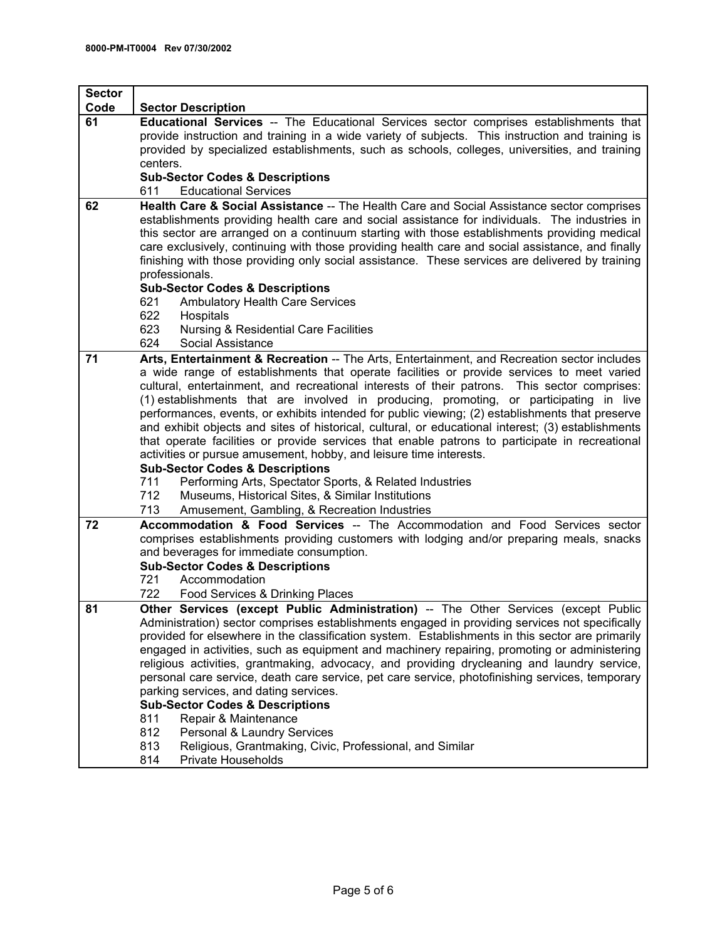| <b>Sector</b> |                                                                                                                                                                                                  |  |  |
|---------------|--------------------------------------------------------------------------------------------------------------------------------------------------------------------------------------------------|--|--|
| Code          | <b>Sector Description</b>                                                                                                                                                                        |  |  |
| 61            | Educational Services -- The Educational Services sector comprises establishments that                                                                                                            |  |  |
|               | provide instruction and training in a wide variety of subjects. This instruction and training is                                                                                                 |  |  |
|               | provided by specialized establishments, such as schools, colleges, universities, and training                                                                                                    |  |  |
|               | centers.                                                                                                                                                                                         |  |  |
|               | <b>Sub-Sector Codes &amp; Descriptions</b><br><b>Educational Services</b><br>611                                                                                                                 |  |  |
| 62            | Health Care & Social Assistance -- The Health Care and Social Assistance sector comprises                                                                                                        |  |  |
|               | establishments providing health care and social assistance for individuals. The industries in                                                                                                    |  |  |
|               | this sector are arranged on a continuum starting with those establishments providing medical                                                                                                     |  |  |
|               | care exclusively, continuing with those providing health care and social assistance, and finally                                                                                                 |  |  |
|               | finishing with those providing only social assistance. These services are delivered by training                                                                                                  |  |  |
|               | professionals.                                                                                                                                                                                   |  |  |
|               | <b>Sub-Sector Codes &amp; Descriptions</b>                                                                                                                                                       |  |  |
|               | 621<br><b>Ambulatory Health Care Services</b>                                                                                                                                                    |  |  |
|               | 622<br>Hospitals                                                                                                                                                                                 |  |  |
|               | 623<br><b>Nursing &amp; Residential Care Facilities</b><br>624<br>Social Assistance                                                                                                              |  |  |
| 71            | Arts, Entertainment & Recreation -- The Arts, Entertainment, and Recreation sector includes                                                                                                      |  |  |
|               | a wide range of establishments that operate facilities or provide services to meet varied                                                                                                        |  |  |
|               | cultural, entertainment, and recreational interests of their patrons. This sector comprises:                                                                                                     |  |  |
|               | (1) establishments that are involved in producing, promoting, or participating in live                                                                                                           |  |  |
|               | performances, events, or exhibits intended for public viewing; (2) establishments that preserve                                                                                                  |  |  |
|               | and exhibit objects and sites of historical, cultural, or educational interest; (3) establishments                                                                                               |  |  |
|               | that operate facilities or provide services that enable patrons to participate in recreational                                                                                                   |  |  |
|               | activities or pursue amusement, hobby, and leisure time interests.                                                                                                                               |  |  |
|               | <b>Sub-Sector Codes &amp; Descriptions</b>                                                                                                                                                       |  |  |
|               | Performing Arts, Spectator Sports, & Related Industries<br>711<br>Museums, Historical Sites, & Similar Institutions<br>712                                                                       |  |  |
|               | 713<br>Amusement, Gambling, & Recreation Industries                                                                                                                                              |  |  |
| 72            | Accommodation & Food Services -- The Accommodation and Food Services sector                                                                                                                      |  |  |
|               | comprises establishments providing customers with lodging and/or preparing meals, snacks                                                                                                         |  |  |
|               | and beverages for immediate consumption.                                                                                                                                                         |  |  |
|               | <b>Sub-Sector Codes &amp; Descriptions</b>                                                                                                                                                       |  |  |
|               | Accommodation<br>721                                                                                                                                                                             |  |  |
|               | 722<br>Food Services & Drinking Places                                                                                                                                                           |  |  |
| 81            | Other Services (except Public Administration) -- The Other Services (except Public                                                                                                               |  |  |
|               | Administration) sector comprises establishments engaged in providing services not specifically                                                                                                   |  |  |
|               | provided for elsewhere in the classification system. Establishments in this sector are primarily<br>engaged in activities, such as equipment and machinery repairing, promoting or administering |  |  |
|               | religious activities, grantmaking, advocacy, and providing drycleaning and laundry service,                                                                                                      |  |  |
|               | personal care service, death care service, pet care service, photofinishing services, temporary                                                                                                  |  |  |
|               | parking services, and dating services.                                                                                                                                                           |  |  |
|               | <b>Sub-Sector Codes &amp; Descriptions</b>                                                                                                                                                       |  |  |
|               | 811<br>Repair & Maintenance                                                                                                                                                                      |  |  |
|               | 812<br>Personal & Laundry Services                                                                                                                                                               |  |  |
|               | 813<br>Religious, Grantmaking, Civic, Professional, and Similar                                                                                                                                  |  |  |
|               | <b>Private Households</b><br>814                                                                                                                                                                 |  |  |